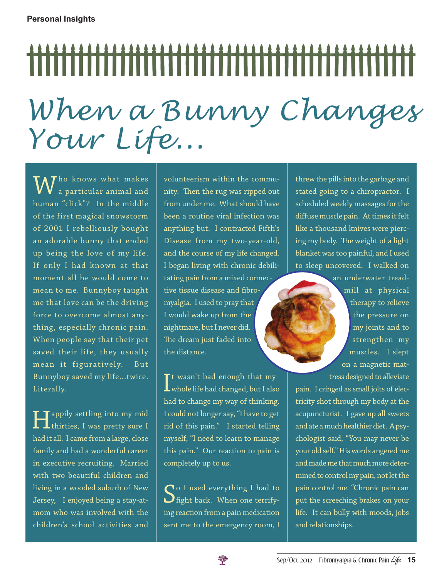## *When a Bunny Changes Your Life...*

 $\overline{\mathsf{M}}$  ho knows what makes a particular animal and human "click"? In the middle of the first magical snowstorm of 2001 I rebelliously bought an adorable bunny that ended up being the love of my life. If only I had known at that moment all he would come to mean to me. Bunnyboy taught me that love can be the driving force to overcome almost anything, especially chronic pain. When people say that their pet saved their life, they usually mean it figuratively. But Bunnyboy saved my life...twice. Literally.

**Happily settling into my mid**<br>thirties, I was pretty sure I had it all. I came from a large, close family and had a wonderful career in executive recruiting. Married with two beautiful children and living in a wooded suburb of New Jersey, I enjoyed being a stay-atmom who was involved with the children's school activities and volunteerism within the community. Then the rug was ripped out from under me. What should have been a routine viral infection was anything but. I contracted Fifth's Disease from my two-year-old, and the course of my life changed. I began living with chronic debilitating pain from a mixed connective tissue disease and fibromyalgia. I used to pray that I would wake up from the nightmare, but I never did. The dream just faded into the distance.

 $\int_{0}^{\frac{\pi}{2}}$  twasn't bad enough that my<br>whole life had changed, but I also  $\mathsf T$ t wasn't bad enough that my had to change my way of thinking. I could not longer say, "I have to get rid of this pain." I started telling myself, "I need to learn to manage this pain." Our reaction to pain is completely up to us.

So I used everything I had to fight back. When one terrifying reaction from a pain medication sent me to the emergency room, I

threw the pills into the garbage and stated going to a chiropractor. I scheduled weekly massages for the diffuse muscle pain. At times it felt like a thousand knives were piercing my body. The weight of a light blanket was too painful, and I used to sleep uncovered. I walked on

> an underwater treadmill at physical therapy to relieve the pressure on my joints and to strengthen my muscles. I slept on a magnetic mattress designed to alleviate

pain. I cringed as small jolts of electricity shot through my body at the acupuncturist. I gave up all sweets and ate a much healthier diet. A psychologist said, "You may never be your old self." His words angered me and made me that much more determined to control my pain, not let the pain control me. "Chronic pain can put the screeching brakes on your life. It can bully with moods, jobs and relationships.

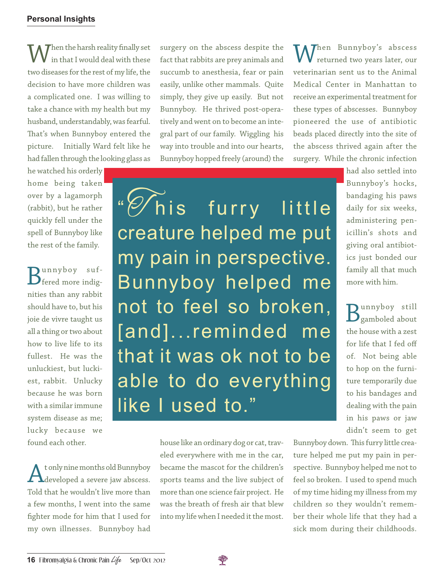Then the harsh reality finally set in that I would deal with these two diseases for the rest of my life, the decision to have more children was a complicated one. I was willing to take a chance with my health but my husband, understandably, was fearful. That's when Bunnyboy entered the picture. Initially Ward felt like he had fallen through the looking glass as

he watched his orderly home being taken over by a lagamorph (rabbit), but he rather quickly fell under the spell of Bunnyboy like the rest of the family.

Bunnyboy suf-<br>
fered more indignities than any rabbit should have to, but his joie de vivre taught us all a thing or two about how to live life to its fullest. He was the unluckiest, but luckiest, rabbit. Unlucky because he was born with a similar immune system disease as me; lucky because we found each other.

t only nine months old Bunnyboy developed a severe jaw abscess. Told that he wouldn't live more than a few months, I went into the same fighter mode for him that I used for my own illnesses. Bunnyboy had

surgery on the abscess despite the fact that rabbits are prey animals and succumb to anesthesia, fear or pain easily, unlike other mammals. Quite simply, they give up easily. But not Bunnyboy. He thrived post-operatively and went on to become an integral part of our family. Wiggling his way into trouble and into our hearts, Bunnyboy hopped freely (around) the

"*''S* his furry little creature helped me put my pain in perspective. Bunnyboy helped me not to feel so broken, [and]...reminded me that it was ok not to be able to do everything like I used to."

> house like an ordinary dog or cat, traveled everywhere with me in the car, became the mascot for the children's sports teams and the live subject of more than one science fair project. He was the breath of fresh air that blew into my life when I needed it the most.

 $M^{hen}$  Bunnyboy's abscess returned two years later, our veterinarian sent us to the Animal Medical Center in Manhattan to receive an experimental treatment for these types of abscesses. Bunnyboy pioneered the use of antibiotic beads placed directly into the site of the abscess thrived again after the surgery. While the chronic infection

> had also settled into Bunnyboy's hocks, bandaging his paws daily for six weeks, administering penicillin's shots and giving oral antibiotics just bonded our family all that much more with him.

**D**unnyboy still  $\mathbf D$ gamboled about the house with a zest for life that I fed off of. Not being able to hop on the furniture temporarily due to his bandages and dealing with the pain in his paws or jaw didn't seem to get

Bunnyboy down. This furry little creature helped me put my pain in perspective. Bunnyboy helped me not to feel so broken. I used to spend much of my time hiding my illness from my children so they wouldn't remember their whole life that they had a sick mom during their childhoods.